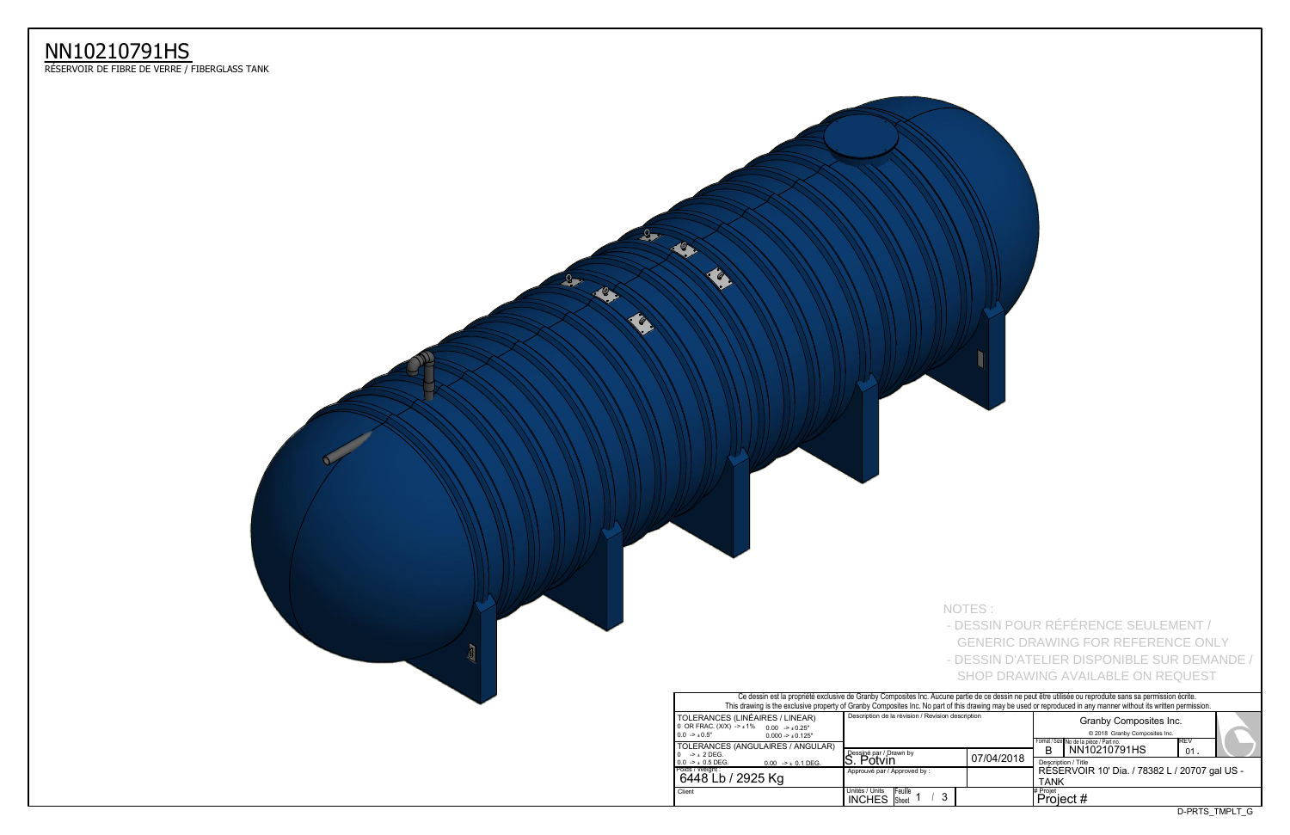D-PRTS\_TMPLT\_G

|                                                                                                                            | . Ce dessin est la propriété exclusive de Granby Composites Inc. Aucune partie de ce dessin ne peut être utilisée ou reproduite sans sa permission écrite.<br>This drawing is the exclusive property of Granby Composites Inc. No part of this drawing may be used or reproduced in any manner without its written permission. |            |                       |                                                                                                    |      |                |  |
|----------------------------------------------------------------------------------------------------------------------------|--------------------------------------------------------------------------------------------------------------------------------------------------------------------------------------------------------------------------------------------------------------------------------------------------------------------------------|------------|-----------------------|----------------------------------------------------------------------------------------------------|------|----------------|--|
| S (LINÉAIRES / LINEAR)<br>$X) -\pm 1\%$<br>$0.00 \rightarrow 0.25"$<br>$0.000 - 1.000 - 1.000$<br>S (ANGULAIRES / ANGULAR) | Description de la révision / Revision description                                                                                                                                                                                                                                                                              |            |                       | Granby Composites Inc.<br>© 2018 Granby Composites Inc.<br>Format / Size No de la pièce / Part no. | IREV |                |  |
|                                                                                                                            | Dessiné par / Drawn by<br>'S. Potvin                                                                                                                                                                                                                                                                                           | 07/04/2018 | В                     | NN10210791HS<br>Description / Title                                                                | 01   |                |  |
| $0.00$ -> $\pm$ 0.1 DEG.<br>/ 2925 Kg                                                                                      | Approuvé par / Approved by :                                                                                                                                                                                                                                                                                                   |            | <b>TANK</b>           | RÉSERVOIR 10' Dia. / 78382 L / 20707 gal US -                                                      |      |                |  |
|                                                                                                                            | Unités / Units<br><b>IFeuille</b><br>3<br><b>INCHES</b><br><b>Sheet</b>                                                                                                                                                                                                                                                        |            | # Projet<br>Project # |                                                                                                    |      |                |  |
|                                                                                                                            |                                                                                                                                                                                                                                                                                                                                |            |                       |                                                                                                    |      | D-PRTS TMPLT G |  |

|                                                                                                                                              | Ce dessin est la propriété exclusive de Granby Composites Inc. Aucune partie de ce dessin ne peut être u<br>This drawing is the exclusive property of Granby Composites Inc. No part of this drawing may be used or repro |  |                   |  |  |  |  |
|----------------------------------------------------------------------------------------------------------------------------------------------|---------------------------------------------------------------------------------------------------------------------------------------------------------------------------------------------------------------------------|--|-------------------|--|--|--|--|
| TOLERANCES (LINÉAIRES / LINEAR)<br>0 OR FRAC. $(X/X)$ -> $\pm 1\%$ 0.00 -> $\pm 0.25$ "<br>$0.0 \rightarrow 0.5"$<br>$0.000 - 1.000 - 1.000$ | Description de la révision / Revision description                                                                                                                                                                         |  |                   |  |  |  |  |
| TOLERANCES (ANGULAIRES / ANGULAR)<br>$-$ + 2 DEG.<br>$0.0 \rightarrow \pm 0.5$ DEG.<br>$0.00$ -> $\pm$ 0.1 DEG.                              | Dessiné par / Drawn by<br>07/04/2018<br>S. Potvin                                                                                                                                                                         |  |                   |  |  |  |  |
| Poids / Weight :<br>6448 Lb / 2925 Kg                                                                                                        | Approuvé par / Approved by:                                                                                                                                                                                               |  | <b>RÉS</b><br>TAN |  |  |  |  |
| Client                                                                                                                                       | Unités / Units<br><b>IFeuille</b><br>3<br><b>INCHES</b><br><b>Sheet</b>                                                                                                                                                   |  | # Projet<br>Pro   |  |  |  |  |



## NN10210791HS

ReSERVOIR DE FIBRE DE VERRE / FIBERGLASS TANK

NOTES : - DESSIN POUR RÉFÉRENCE SEULEMENT / GENERIC DRAWING FOR REFERENCE ONLY - DESSIN D'ATELIER DISPONIBLE SUR DEMANDE /

SHOP DRAWING AVAILABLE ON REQUEST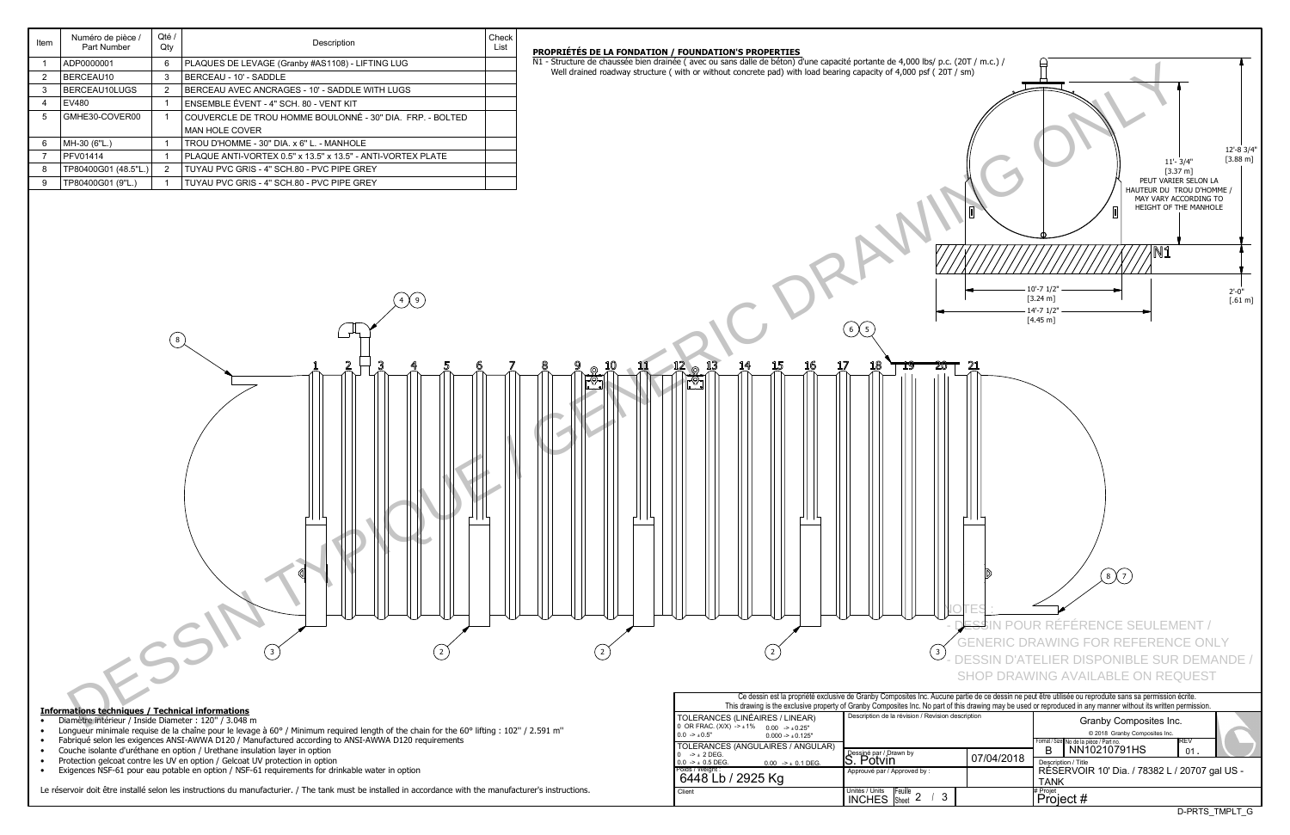| Item | Numéro de pièce /<br>Part Number | Oté /<br>Qty  | Description                                                 | Check<br>List |
|------|----------------------------------|---------------|-------------------------------------------------------------|---------------|
|      | ADP0000001                       | 6             | PLAQUES DE LEVAGE (Granby #AS1108) - LIFTING LUG            |               |
| 2    | BERCEAU10                        | 3             | BERCEAU - 10' - SADDLE                                      |               |
| 3    | BERCEAU10LUGS                    | $\mathcal{P}$ | BERCEAU AVEC ANCRAGES - 10' - SADDLE WITH LUGS              |               |
| 4    | EV480                            |               | ENSEMBLE ÉVENT - 4" SCH. 80 - VENT KIT                      |               |
| 5    | GMHE30-COVER00                   |               | COUVERCLE DE TROU HOMME BOULONNÉ - 30" DIA. FRP. - BOLTED   |               |
|      |                                  |               | <b>MAN HOLE COVER</b>                                       |               |
| 6    | MH-30 (6"L.)                     |               | TROU D'HOMME - 30" DIA. x 6" L. - MANHOLE                   |               |
| 7    | PFV01414                         |               | PLAQUE ANTI-VORTEX 0.5" x 13.5" x 13.5" - ANTI-VORTEX PLATE |               |
| 8    | TP80400G01 (48.5"L.)             | $\mathcal{P}$ | TUYAU PVC GRIS - 4" SCH 80 - PVC PIPE GREY                  |               |
| 9    | TP80400G01 (9"L.)                |               | TUYAU PVC GRIS - 4" SCH.80 - PVC PIPE GREY                  |               |

4 X 9

- Protection gelcoat contre les UV en option / Gelcoat UV protection in option
- Exigences NSF-61 pour eau potable en option / NSF-61 requirements for drinkable water in option

Le réservoir doit être installé selon les instructions du manufacturier. / The tank must be installed in accordance with the manufacturer's instructions.

| Ce dessin est la propriété exclusive de Granby Composites Inc. Aucune partie de ce dessin ne peut être u<br>This drawing is the exclusive property of Granby Composites Inc. No part of this drawing may be used or repro |                                                               |            |                 |  |  |  |  |  |  |  |
|---------------------------------------------------------------------------------------------------------------------------------------------------------------------------------------------------------------------------|---------------------------------------------------------------|------------|-----------------|--|--|--|--|--|--|--|
| TOLERANCES (LINÉAIRES / LINEAR)<br>0 OR FRAC. $(X/X)$ -> $\pm 1\%$ 0.00 -> $\pm 0.25$ "<br>$0.0 \rightarrow 0.5"$<br>$0.000 - 1.000 - 1.000$                                                                              | Description de la révision / Revision description             |            |                 |  |  |  |  |  |  |  |
| TOLERANCES (ANGULAIRES / ANGULAR)<br>$-2 + 2$ DEG.<br>$\Omega$                                                                                                                                                            | Dessiné par / Drawn by                                        |            | Format / S<br>B |  |  |  |  |  |  |  |
| $0.0 \rightarrow \pm 0.5$ DEG.<br>$0.00$ -> $\pm$ 0.1 DEG.                                                                                                                                                                | S. Potvin                                                     | 07/04/2018 | Descr           |  |  |  |  |  |  |  |
| Poids / Weight:<br>6448 Lb / 2925 Kg                                                                                                                                                                                      | Approuvé par / Approved by:                                   |            | RÉS<br>TAN      |  |  |  |  |  |  |  |
| Client                                                                                                                                                                                                                    | Unités / Units<br><b>IFeuille</b><br>3<br><b>INCHES</b> Sheet |            | # Projet<br>Pro |  |  |  |  |  |  |  |

 $\widehat{6}\widehat{5}$ 

 $(2)$   $(3)$ 



- Diamètre intérieur / Inside Diameter : 120" / 3.048 m
- Longueur minimale requise de la chaîne pour le levage à 60° / Minimum required length of the chain for the 60° lifting : 102" / 2.591 m"



3

- Fabriqué selon les exigences ANSI-AWWA D120 / Manufactured according to ANSI-AWWA D120 requirements
- Couche isolante d'uréthane en option / Urethane insulation layer in option

 $\left( \begin{matrix} 8 \end{matrix} \right)$ 

**PROPRIeTeS DE LA FONDATION / FOUNDATION'S PROPERTIES**

N1 - Structure de chaussée bien drainée (avec ou sans dalle de béton) d'une capacité portante de 4,000 lbs/ p.c. (20T / m.c.) / Well drained roadway structure ( with or without concrete pad) with load bearing capacity of 4,000 psf ( $20T / sm$ )

2 2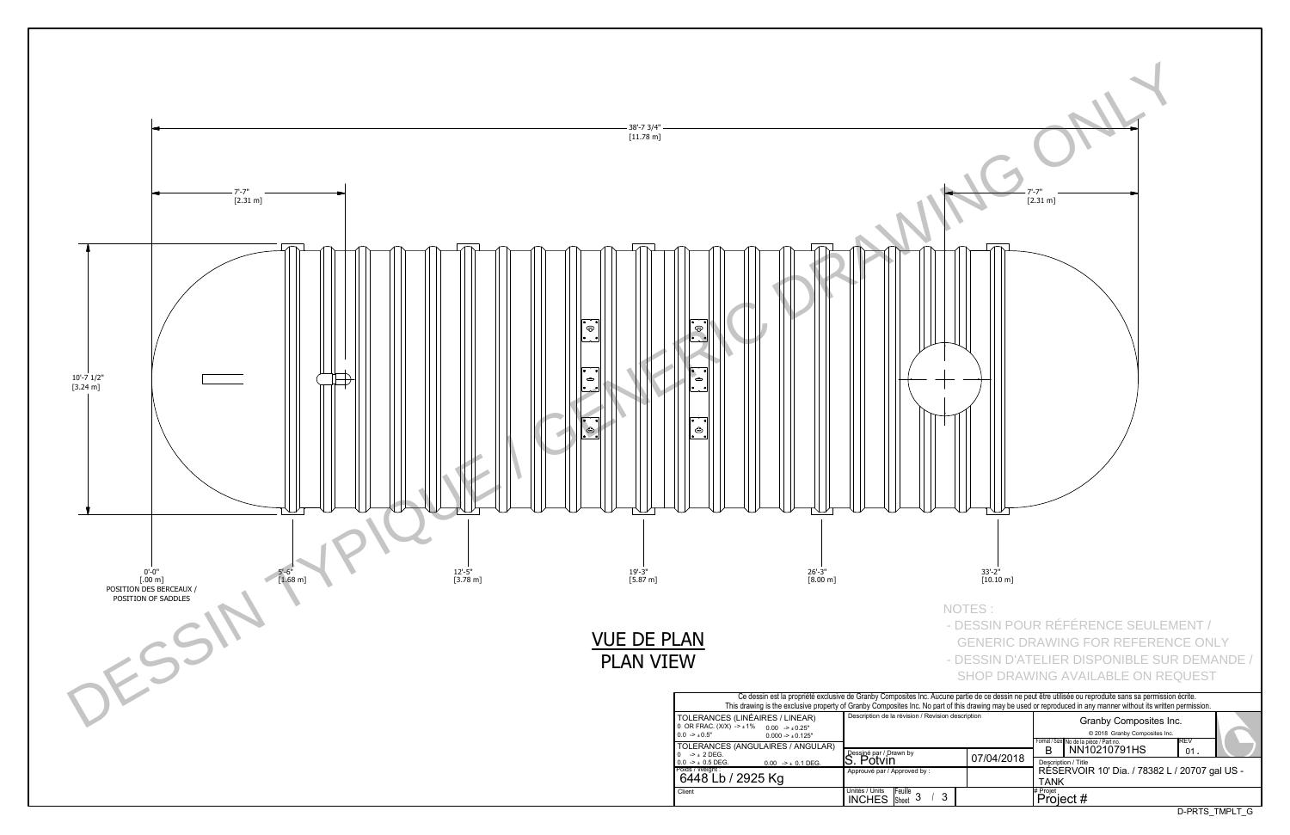